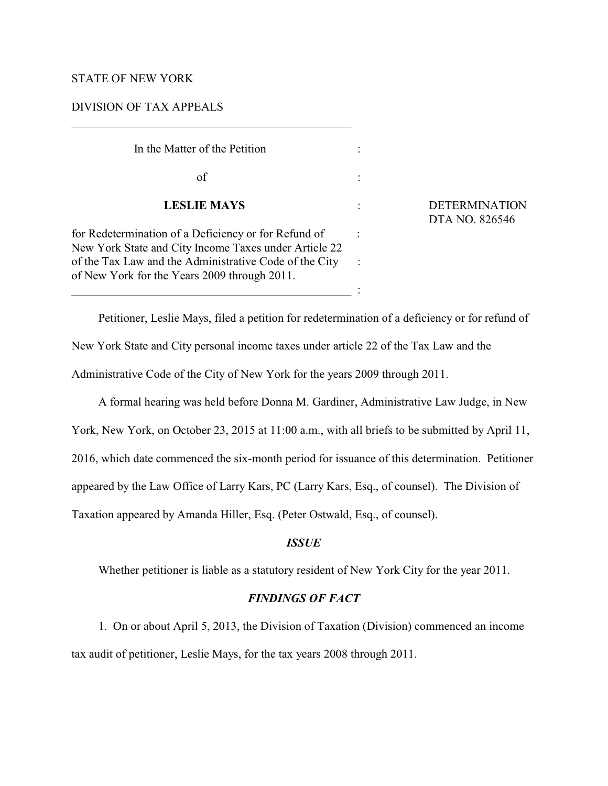#### STATE OF NEW YORK

### DIVISION OF TAX APPEALS

| In the Matter of the Petition                                                                                                                                                                                           |  |
|-------------------------------------------------------------------------------------------------------------------------------------------------------------------------------------------------------------------------|--|
| of                                                                                                                                                                                                                      |  |
| <b>LESLIE MAYS</b>                                                                                                                                                                                                      |  |
| for Redetermination of a Deficiency or for Refund of<br>New York State and City Income Taxes under Article 22<br>of the Tax Law and the Administrative Code of the City<br>of New York for the Years 2009 through 2011. |  |

\_\_\_\_\_\_\_\_\_\_\_\_\_\_\_\_\_\_\_\_\_\_\_\_\_\_\_\_\_\_\_\_\_\_\_\_\_\_\_\_\_\_\_\_\_\_\_ :

 **LESLIE MAYS** : DETERMINATION DTA NO. 826546

Petitioner, Leslie Mays, filed a petition for redetermination of a deficiency or for refund of New York State and City personal income taxes under article 22 of the Tax Law and the Administrative Code of the City of New York for the years 2009 through 2011.

A formal hearing was held before Donna M. Gardiner, Administrative Law Judge, in New

York, New York, on October 23, 2015 at 11:00 a.m., with all briefs to be submitted by April 11,

2016, which date commenced the six-month period for issuance of this determination. Petitioner

appeared by the Law Office of Larry Kars, PC (Larry Kars, Esq., of counsel). The Division of

Taxation appeared by Amanda Hiller, Esq. (Peter Ostwald, Esq., of counsel).

# *ISSUE*

Whether petitioner is liable as a statutory resident of New York City for the year 2011.

## *FINDINGS OF FACT*

1. On or about April 5, 2013, the Division of Taxation (Division) commenced an income tax audit of petitioner, Leslie Mays, for the tax years 2008 through 2011.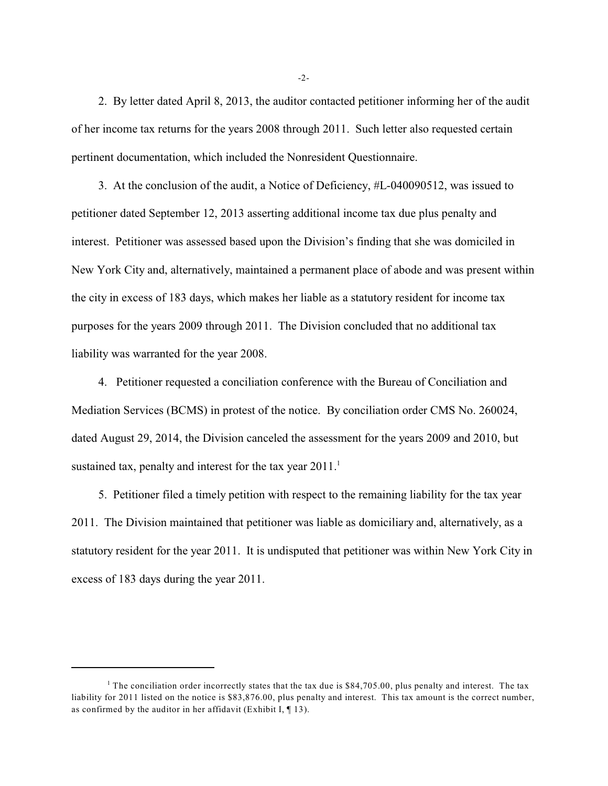2. By letter dated April 8, 2013, the auditor contacted petitioner informing her of the audit of her income tax returns for the years 2008 through 2011. Such letter also requested certain pertinent documentation, which included the Nonresident Questionnaire.

3. At the conclusion of the audit, a Notice of Deficiency, #L-040090512, was issued to petitioner dated September 12, 2013 asserting additional income tax due plus penalty and interest. Petitioner was assessed based upon the Division's finding that she was domiciled in New York City and, alternatively, maintained a permanent place of abode and was present within the city in excess of 183 days, which makes her liable as a statutory resident for income tax purposes for the years 2009 through 2011. The Division concluded that no additional tax liability was warranted for the year 2008.

4. Petitioner requested a conciliation conference with the Bureau of Conciliation and Mediation Services (BCMS) in protest of the notice. By conciliation order CMS No. 260024, dated August 29, 2014, the Division canceled the assessment for the years 2009 and 2010, but sustained tax, penalty and interest for the tax year  $2011$ .<sup>1</sup>

5. Petitioner filed a timely petition with respect to the remaining liability for the tax year 2011. The Division maintained that petitioner was liable as domiciliary and, alternatively, as a statutory resident for the year 2011. It is undisputed that petitioner was within New York City in excess of 183 days during the year 2011.

-2-

<sup>&</sup>lt;sup>1</sup> The conciliation order incorrectly states that the tax due is \$84,705.00, plus penalty and interest. The tax liability for 2011 listed on the notice is \$83,876.00, plus penalty and interest. This tax amount is the correct number, as confirmed by the auditor in her affidavit (Exhibit I,  $\P$  13).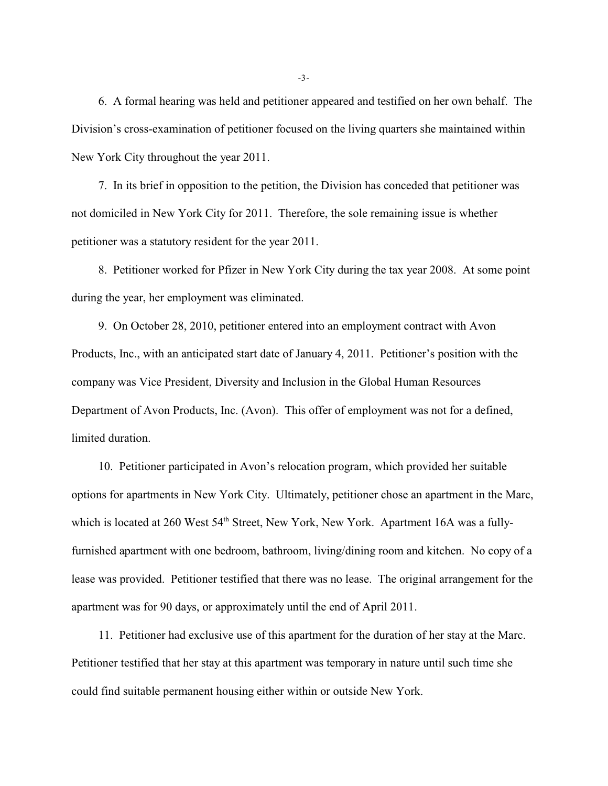6. A formal hearing was held and petitioner appeared and testified on her own behalf. The Division's cross-examination of petitioner focused on the living quarters she maintained within New York City throughout the year 2011.

7. In its brief in opposition to the petition, the Division has conceded that petitioner was not domiciled in New York City for 2011. Therefore, the sole remaining issue is whether petitioner was a statutory resident for the year 2011.

8. Petitioner worked for Pfizer in New York City during the tax year 2008. At some point during the year, her employment was eliminated.

9. On October 28, 2010, petitioner entered into an employment contract with Avon Products, Inc., with an anticipated start date of January 4, 2011. Petitioner's position with the company was Vice President, Diversity and Inclusion in the Global Human Resources Department of Avon Products, Inc. (Avon). This offer of employment was not for a defined, limited duration.

10. Petitioner participated in Avon's relocation program, which provided her suitable options for apartments in New York City. Ultimately, petitioner chose an apartment in the Marc, which is located at 260 West 54<sup>th</sup> Street, New York, New York. Apartment 16A was a fullyfurnished apartment with one bedroom, bathroom, living/dining room and kitchen. No copy of a lease was provided. Petitioner testified that there was no lease. The original arrangement for the apartment was for 90 days, or approximately until the end of April 2011.

11. Petitioner had exclusive use of this apartment for the duration of her stay at the Marc. Petitioner testified that her stay at this apartment was temporary in nature until such time she could find suitable permanent housing either within or outside New York.

-3-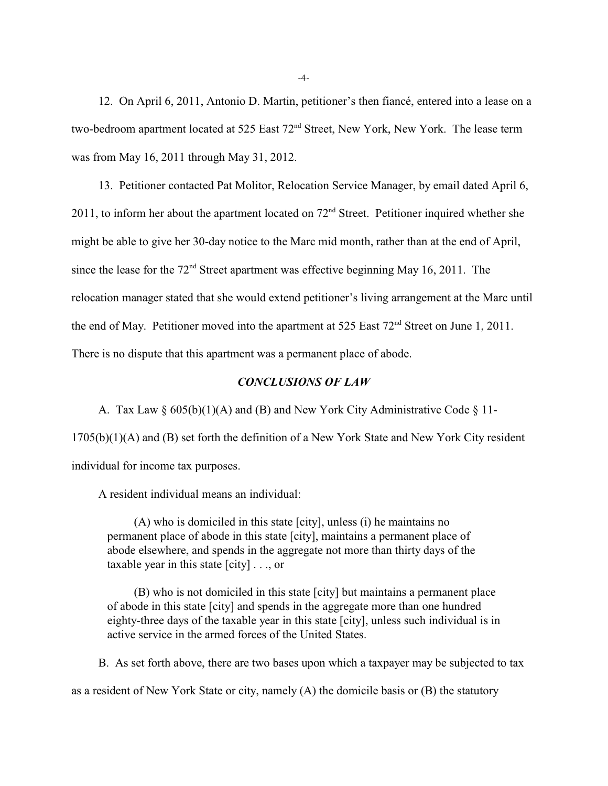12. On April 6, 2011, Antonio D. Martin, petitioner's then fiancé, entered into a lease on a two-bedroom apartment located at 525 East 72<sup>nd</sup> Street, New York, New York. The lease term was from May 16, 2011 through May 31, 2012.

13. Petitioner contacted Pat Molitor, Relocation Service Manager, by email dated April 6, 2011, to inform her about the apartment located on  $72<sup>nd</sup>$  Street. Petitioner inquired whether she might be able to give her 30-day notice to the Marc mid month, rather than at the end of April, since the lease for the  $72<sup>nd</sup>$  Street apartment was effective beginning May 16, 2011. The relocation manager stated that she would extend petitioner's living arrangement at the Marc until the end of May. Petitioner moved into the apartment at 525 East  $72<sup>nd</sup>$  Street on June 1, 2011. There is no dispute that this apartment was a permanent place of abode.

## *CONCLUSIONS OF LAW*

A. Tax Law § 605(b)(1)(A) and (B) and New York City Administrative Code § 11- 1705(b)(1)(A) and (B) set forth the definition of a New York State and New York City resident individual for income tax purposes.

A resident individual means an individual:

(A) who is domiciled in this state [city], unless (i) he maintains no permanent place of abode in this state [city], maintains a permanent place of abode elsewhere, and spends in the aggregate not more than thirty days of the taxable year in this state [city] . . ., or

(B) who is not domiciled in this state [city] but maintains a permanent place of abode in this state [city] and spends in the aggregate more than one hundred eighty-three days of the taxable year in this state [city], unless such individual is in active service in the armed forces of the United States.

B. As set forth above, there are two bases upon which a taxpayer may be subjected to tax as a resident of New York State or city, namely (A) the domicile basis or (B) the statutory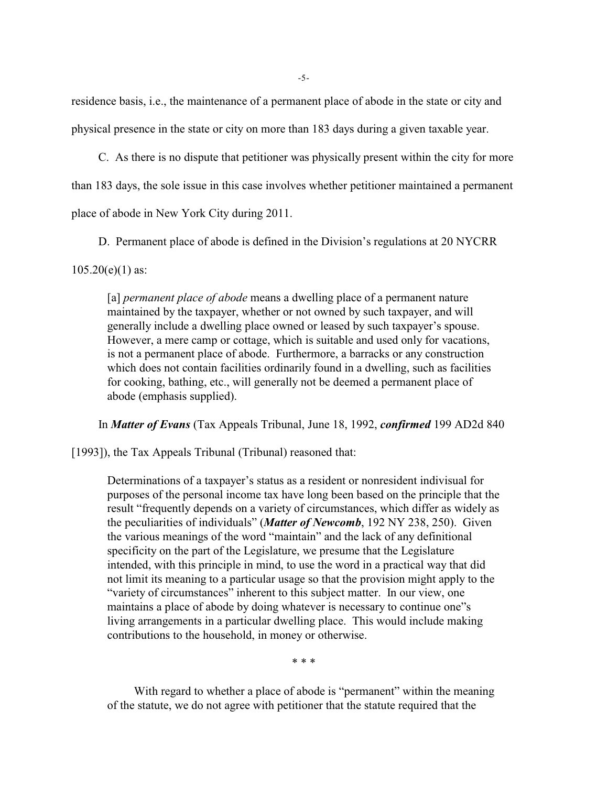residence basis, i.e., the maintenance of a permanent place of abode in the state or city and physical presence in the state or city on more than 183 days during a given taxable year.

C. As there is no dispute that petitioner was physically present within the city for more

than 183 days, the sole issue in this case involves whether petitioner maintained a permanent

place of abode in New York City during 2011.

D. Permanent place of abode is defined in the Division's regulations at 20 NYCRR

 $105.20(e)(1)$  as:

[a] *permanent place of abode* means a dwelling place of a permanent nature maintained by the taxpayer, whether or not owned by such taxpayer, and will generally include a dwelling place owned or leased by such taxpayer's spouse. However, a mere camp or cottage, which is suitable and used only for vacations, is not a permanent place of abode. Furthermore, a barracks or any construction which does not contain facilities ordinarily found in a dwelling, such as facilities for cooking, bathing, etc., will generally not be deemed a permanent place of abode (emphasis supplied).

In *Matter of Evans* (Tax Appeals Tribunal, June 18, 1992, *confirmed* 199 AD2d 840

[1993]), the Tax Appeals Tribunal (Tribunal) reasoned that:

Determinations of a taxpayer's status as a resident or nonresident indivisual for purposes of the personal income tax have long been based on the principle that the result "frequently depends on a variety of circumstances, which differ as widely as the peculiarities of individuals" (*Matter of Newcomb*, 192 NY 238, 250). Given the various meanings of the word "maintain" and the lack of any definitional specificity on the part of the Legislature, we presume that the Legislature intended, with this principle in mind, to use the word in a practical way that did not limit its meaning to a particular usage so that the provision might apply to the "variety of circumstances" inherent to this subject matter. In our view, one maintains a place of abode by doing whatever is necessary to continue one"s living arrangements in a particular dwelling place. This would include making contributions to the household, in money or otherwise.

\* \* \*

With regard to whether a place of abode is "permanent" within the meaning of the statute, we do not agree with petitioner that the statute required that the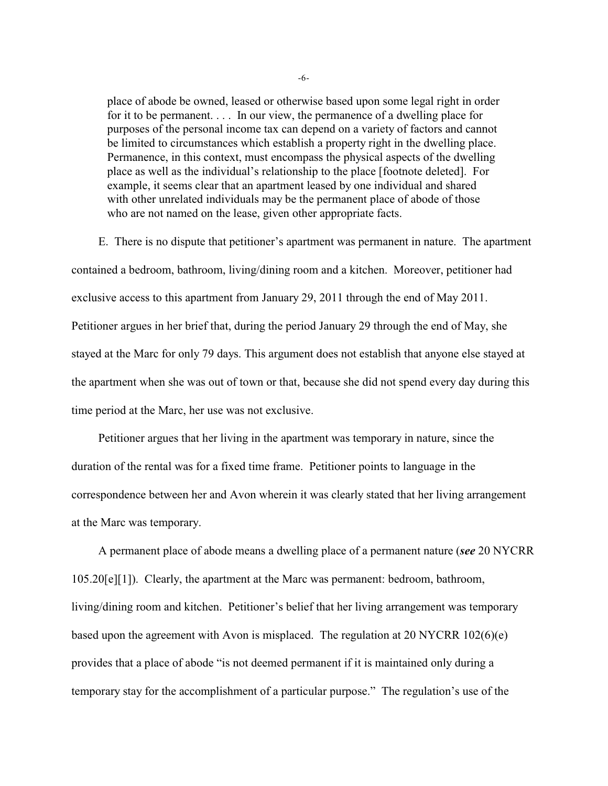place of abode be owned, leased or otherwise based upon some legal right in order for it to be permanent. . . . In our view, the permanence of a dwelling place for purposes of the personal income tax can depend on a variety of factors and cannot be limited to circumstances which establish a property right in the dwelling place. Permanence, in this context, must encompass the physical aspects of the dwelling place as well as the individual's relationship to the place [footnote deleted]. For example, it seems clear that an apartment leased by one individual and shared with other unrelated individuals may be the permanent place of abode of those who are not named on the lease, given other appropriate facts.

E. There is no dispute that petitioner's apartment was permanent in nature. The apartment contained a bedroom, bathroom, living/dining room and a kitchen. Moreover, petitioner had exclusive access to this apartment from January 29, 2011 through the end of May 2011. Petitioner argues in her brief that, during the period January 29 through the end of May, she stayed at the Marc for only 79 days. This argument does not establish that anyone else stayed at the apartment when she was out of town or that, because she did not spend every day during this time period at the Marc, her use was not exclusive.

Petitioner argues that her living in the apartment was temporary in nature, since the duration of the rental was for a fixed time frame. Petitioner points to language in the correspondence between her and Avon wherein it was clearly stated that her living arrangement at the Marc was temporary.

A permanent place of abode means a dwelling place of a permanent nature (*see* 20 NYCRR 105.20[e][1]). Clearly, the apartment at the Marc was permanent: bedroom, bathroom, living/dining room and kitchen. Petitioner's belief that her living arrangement was temporary based upon the agreement with Avon is misplaced. The regulation at 20 NYCRR 102(6)(e) provides that a place of abode "is not deemed permanent if it is maintained only during a temporary stay for the accomplishment of a particular purpose." The regulation's use of the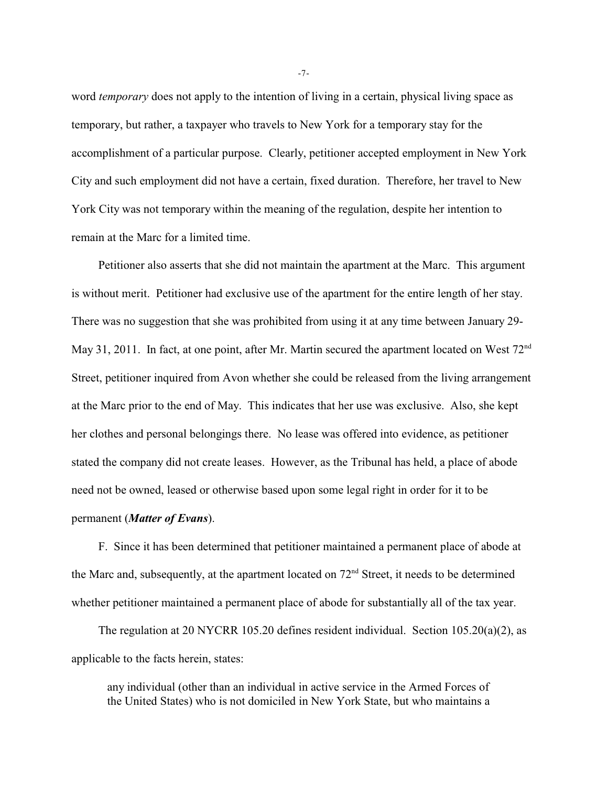word *temporary* does not apply to the intention of living in a certain, physical living space as temporary, but rather, a taxpayer who travels to New York for a temporary stay for the accomplishment of a particular purpose. Clearly, petitioner accepted employment in New York City and such employment did not have a certain, fixed duration. Therefore, her travel to New York City was not temporary within the meaning of the regulation, despite her intention to remain at the Marc for a limited time.

Petitioner also asserts that she did not maintain the apartment at the Marc. This argument is without merit. Petitioner had exclusive use of the apartment for the entire length of her stay. There was no suggestion that she was prohibited from using it at any time between January 29- May 31, 2011. In fact, at one point, after Mr. Martin secured the apartment located on West 72<sup>nd</sup> Street, petitioner inquired from Avon whether she could be released from the living arrangement at the Marc prior to the end of May. This indicates that her use was exclusive. Also, she kept her clothes and personal belongings there. No lease was offered into evidence, as petitioner stated the company did not create leases. However, as the Tribunal has held, a place of abode need not be owned, leased or otherwise based upon some legal right in order for it to be permanent (*Matter of Evans*).

F. Since it has been determined that petitioner maintained a permanent place of abode at the Marc and, subsequently, at the apartment located on  $72<sup>nd</sup>$  Street, it needs to be determined whether petitioner maintained a permanent place of abode for substantially all of the tax year.

The regulation at 20 NYCRR 105.20 defines resident individual. Section 105.20(a)(2), as applicable to the facts herein, states:

any individual (other than an individual in active service in the Armed Forces of the United States) who is not domiciled in New York State, but who maintains a

-7-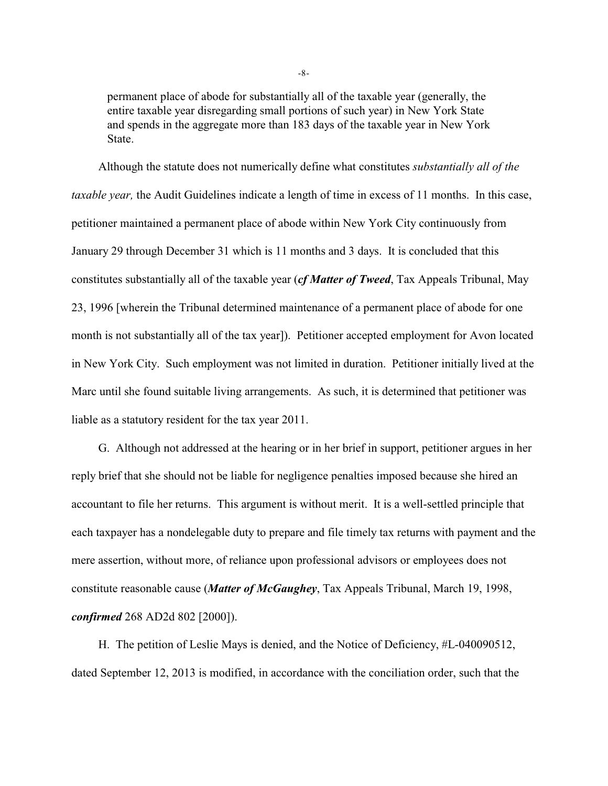permanent place of abode for substantially all of the taxable year (generally, the entire taxable year disregarding small portions of such year) in New York State and spends in the aggregate more than 183 days of the taxable year in New York State.

Although the statute does not numerically define what constitutes *substantially all of the taxable year,* the Audit Guidelines indicate a length of time in excess of 11 months. In this case, petitioner maintained a permanent place of abode within New York City continuously from January 29 through December 31 which is 11 months and 3 days. It is concluded that this constitutes substantially all of the taxable year (*cf Matter of Tweed*, Tax Appeals Tribunal, May 23, 1996 [wherein the Tribunal determined maintenance of a permanent place of abode for one month is not substantially all of the tax year]). Petitioner accepted employment for Avon located in New York City. Such employment was not limited in duration. Petitioner initially lived at the Marc until she found suitable living arrangements. As such, it is determined that petitioner was liable as a statutory resident for the tax year 2011.

G. Although not addressed at the hearing or in her brief in support, petitioner argues in her reply brief that she should not be liable for negligence penalties imposed because she hired an accountant to file her returns. This argument is without merit. It is a well-settled principle that each taxpayer has a nondelegable duty to prepare and file timely tax returns with payment and the mere assertion, without more, of reliance upon professional advisors or employees does not constitute reasonable cause (*Matter of McGaughey*, Tax Appeals Tribunal, March 19, 1998, *confirmed* 268 AD2d 802 [2000]).

H. The petition of Leslie Mays is denied, and the Notice of Deficiency, #L-040090512, dated September 12, 2013 is modified, in accordance with the conciliation order, such that the